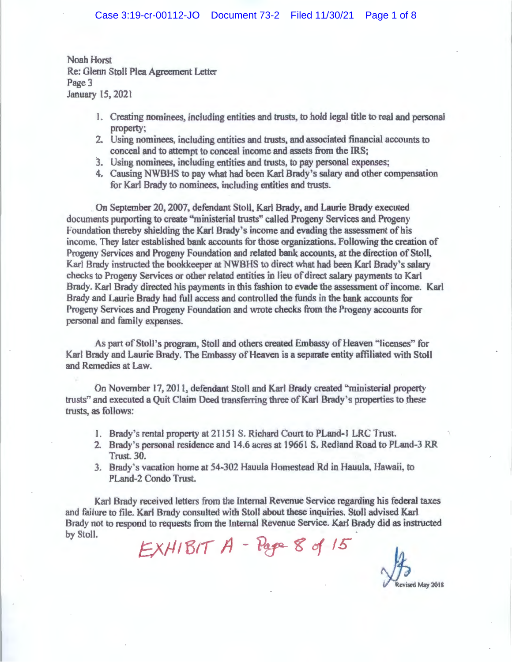Noah Horst Re: Glenn Stoll Plea Agreement Letter Page 3 January 15. 2021

- l. Creating nominees, including entities and trusts, to hold legal title to real and personal property;
- 2. Using nominees, including entities and trusts, and associated financial accounts to conceal and to attempt to conceal income and assets from the IRS;
- 3. Using nominees, including entities and trusts, to pay personal expenses;
- 4. Causing NWBHS to pay what had been Karl Brady s saJary and other compensation for Karl Brady to nominees, including entities and trusts.

On September 20, 2007, defendant Stoll, Karl Brady, and Laurie Brady executed documents purporting to create ·'ministerial trusts' called Progeny Services and Progeny Foundation thereby shielding the Karl Brady's income and evading the assessment of bis income. They later established bank accounts for those organizations. Following the creation of Progeny Services and Progeny Foundation and related bank accounts, at the direction of Stoll, Karl Brady instructed the bookkeeper at NWBHS to direct what had been Karl Brady's salary checks to Progeny Services or other related entities in lieu of direct saJary payments to Karl Brady. Karl Brady directed his payments in this fashion to evade the assessment of income. Karl Brady and Laurie Brady had full access and controlled the funds in the bank accounts for Progeny Services and Progeny Foundation and wrote checks from the Progeny accounts for personal and family expenses.

As part of Stoll's program, Stoll and others created Embassy of Heaven "licenses" for Karl Brady and Laurie Brady. The Embassy of Heaven is a separate entity affiliated with Stoll and Remedies at Law.

Oa November 17, 2011, defendant Stoll and Karl Brady created "ministeriaJ property trusts" and executed a Quit Claim Deed transferring three of Karl Brady's properties to these trusts *as* follows:

- *1.* Brady's rental property at2115l S. Richard Court to PLand-1 LRC Trust.
- 2. Brady's personal residence and 14.6 acres at 19661 S. Redland Road to PLand-3 RR Trust. 30.
- 3. Brady"s vacation home at 54-302 Hauula Homestead Rd in Hauula, Hawaii, to PLand-2 Condo Trust.

Karl Brady received letters from the Internal Revenue Service regarding his federal taxes and failure to file. Karl Brady consulted with Stoll about these inquiries. Stoll advised Karl Brady not to respond to requests from the Internal Revenue Service. Karl Brady did as instructed by Stoll.

 $EXHIBIT A - Page 8 of 15$ 

Revised May 2018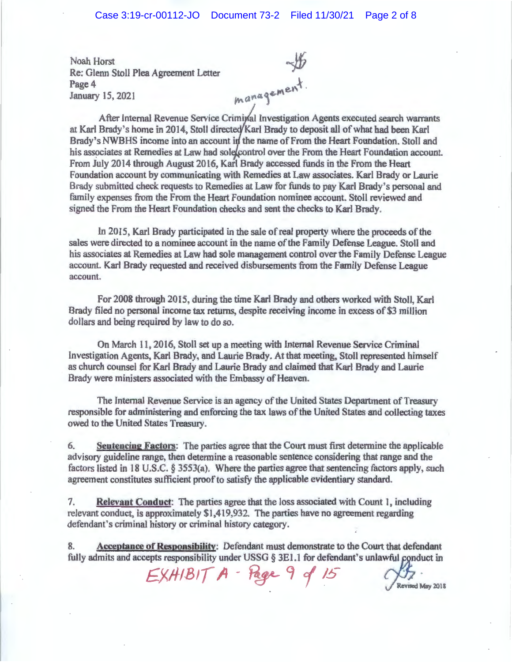Noah Horst Re; Glenn Stoll Plea Agreement Letter Page 4 January 15,2021  $\mu$  15, 2021<br>After Internal Revenue Service Criminal Investigation Agents executed search warrants

at Karl Brady's home in 2014, Stoll directed Karl Brady to deposit all of what had been Karl Brady's NWBHS income into an account in the name of From the Heart Foundation. Stoll and his associates at Remedies at Law had sole control over the From the Heart Foundation account. From July 2014 through August 2016, Karl Brady accessed funds in the From the Heart Foundation account by communicating with Remedies at Law associates. Karl Brady or Laurie Brady submitted check requests to Remedies at Law for funds to pay Karl Brady's personal and family expenses from the From the Heart Foundation nominee account. Stoll reviewed and signed the From the Heart Foundation checks and sent the checks to Karl Brady.

In 2015, Karl Brady participated in the sale of real property where the proceeds of the sales were directed to a nominee account in the name of the Family Defense League. Stoll and his associates at Remedies at Law had sole management control over the Family Defense League account. Karl Brady requested and received disbursements from the Family Defense League account.

For 2008 through 2015, during the time Karl Brady and others worked with Stoll, Karl Brady filed no personal income tax returns, despite receiving income in excess of \$3 million dollars and being required by law to do so.

On March 11, 2016, Stoll set up a meeting with Internal Revenue Service Criminal Investigation Agents, Karl Brady, and Laurie Brady. At that meeting, Stoll represented himself *as* church counsel for Karl Brady and Laurie Brady and claimed that Karl Brady and Laurie Brady were ministers associated with the Embassy of Heaven.

The Internal Revenue Service is an agency of the United States Department of Treasury responsible for administering and enforcing the tax laws of the United States and collecting taxes owed to the United States Treasury.

6. **Sentencing Factors:** The parties agree that the Court must first determine the applicable advisory guideline range; then determine a reasonable sentence considering that range and the factors listed in 18 U.S.C. § 3553(a), Where the parties agree that sentencing factors apply, such agreement constitutes sufficient proof to satisfy the applicable evidentiary standard.

7. **Relevant Conduct:** The parties agree that the loss associated with Count 1 including relevant conduct, is approximately \$1,419 932. Tbe parties have no agreement regarding defendant's criminal history or criminal history category.

8. **Acceptance of Responsibility:** Defendant must demonstrate to the Court that defendant fully admits and accepts responsibility under USSG § 3E1.1 for defendant's unlawful conduct in

 $EXH/BIT$   $A$  - Page 9 of 15  $\frac{1}{2}$  Revised May 2018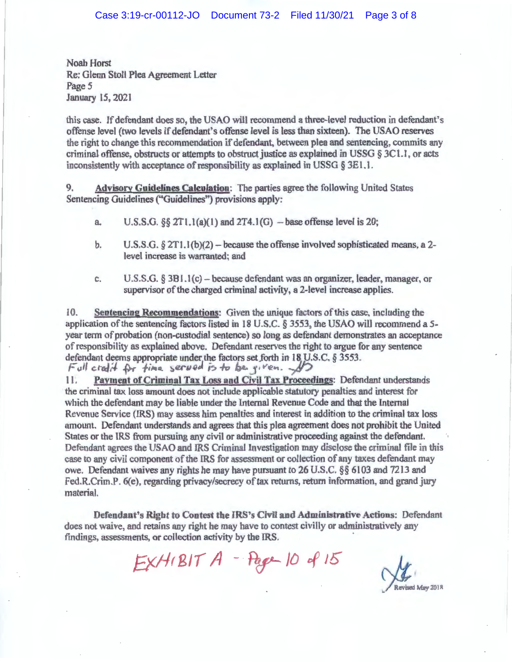Noah Horst Re: Glenn Stoll Plea Agreement Letter Page 5 January l5, 2021

this case. If defendant does so. the USAO will recommend a three-level reduction in defendant's offense level (two levels if defendant's offense level is less than sixteen). The USAO reserves the right to change this recommendation if defendant. between plea and sentencing, commits any criminal offense, obstructs or attempts to obstruct justice as explained in USSG § 3C1 . I, or acts inconsistently with acceptance of responsibility as explained in USSG  $\S 3E1.1$ .

9. **Advisory Guidelines Calculation:** The parties agree tbe following United States Sentencing Guidelines ("Guidelines") provisions apply:

- a. U.S.S.G. §§ 2T1.1(a)(1) and 2T4.1(G) base offense level is 20;
- b. U.S.S.G.  $\S 2T1.1(b)(2)$  because the offense involved sophisticated means, a 2level increase is warranted; and
- c.  $U.S.S.G. \S 3B1.1(c)$  because defendant was an organizer, leader, manager, or supervisor of the charged criminal activity, a 2-level increase applies.

l 0. **Sentencing Recommendations:** Given the unique factors of this case. including the application of the sentencing factors listed in 18 U.S.C. § 3553 the USAO will recommend a 5 year term of probation (non-custodial sentence) so long as defendant demonstrates an acceptance of responsibility as explained above. Defendant reserves the right to argue for any sentence defendant deems appropriate under the factors set forth in 18 U.S.C. § 3553.<br>*Full cted it* for *time*, served is to be, *given*.

11. **Payment of Criminal Tax Loss and Civil Tax Proceedings:** Defendant understands the criminal tax loss amount does not include applicable statutory penalties and interest for which the defendant may be liable under the Internal Revenue Code and that the Internal Revenue Service (IRS) may assess him penalties and interest in addition to the criminal tax loss amount. Defendant understands and agrees that this plea agreement does not prohibit the United States or the IRS from pursuing any civil or administrative proceeding against the defendant. Defendant agrees the USAO and IRS Criminal Investigation may disclose the criminal file jn this case to any civil component of the IRS for assessment or collection of any taxes defendant may owe. Defendant waives any rights he may nave pursuant to 26 U.S.C. §§ 6103 and 7213 and Fed.R.Crim.P. 6(e), regarding privacy/secrecy of tax returns, return information, and grand jury material.

**Defendant's Right to Contest the IRS's Civil and Administrative Actions:** Defendant does not waive, and retains any right he may have to contest civilly *or* administratively any findings, assessments, or collection activity by the IRS.

 $EXH(BITA - Page-100815$ 

**Revised May 2018**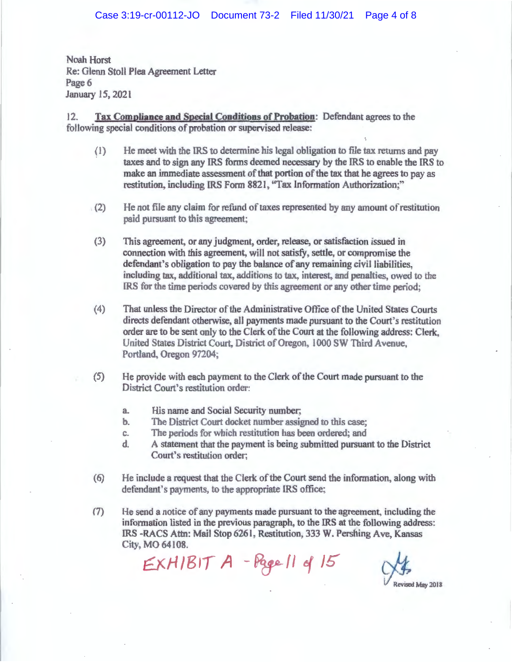Noah Horst Re: Glenn Stoll Plea Agreement Letter Page 6 January 15, 2021

12. **Tax Compliance and Special Conditions of Probation:** Defendant agrees to the following special conditions of probation or supervised release:

- (1) He meet with the IRS to determine his legal obligation to file tax returns and pay taxes and to sign any IRS forms deemed necessary by the IRS to enable the lRS to make an immediate assessment of that portion of the tax that he agrees to pay as restitution, including IRS Form 8821, "Tax Information Authorization;"
- $(2)$  He not file any claim for refund of taxes represented by any amount of restitution paid pursuant to this agreement:
- (3) This agreement, or any judgment, order, release, or satisfaction issued in connection with this agreement, will not satisfy, settle, or compromise the defendant's obligation to pay the balance of any remaining civil liabilities, including tax, additional tax, additions to tax, interest, and penalties, owed to the lRS for the time periods covered by this agreement or any other time period·
- (4) That unless the Director of the Administrative Office of the United States Courts directs defendant otherwise, all payments made pursuant to the Court's restitution order are to be sent only to the Clerk of the Court at the folJowing address: Clerk. United States District Court, District of Oregon, I 000 SW Third Avenue, Portland, Oregon 97204;
- (5) He provide with each payment to the Clerk of the Court made pursuant to the District Court's restitution order:
	- a. His name and Social Security number;
	- b. The District Court docket number assigned to this case;
	- c. The periods for which restitution has been ordered; and
	- d. A statement that the payment is being submitted pursuant to the District Court's restitution order;
- (6) He include a request that the Clerk of the Court send the information, along with defendant's payments, to the appropriate IRS office;
- (7) He send a notice of any payments made pursuant to the ugreement, including the information listed in the previous paragraph, to the IRS at the following address: IRS -RACS Attn: Mail Stop 6261, Restitution, 333 W. Pershing Ave, Kansas City, MO 64108.

 $EXH/BIT A - Page II$  of  $15$   $\bigcup_{\text{Revised May 2018}}$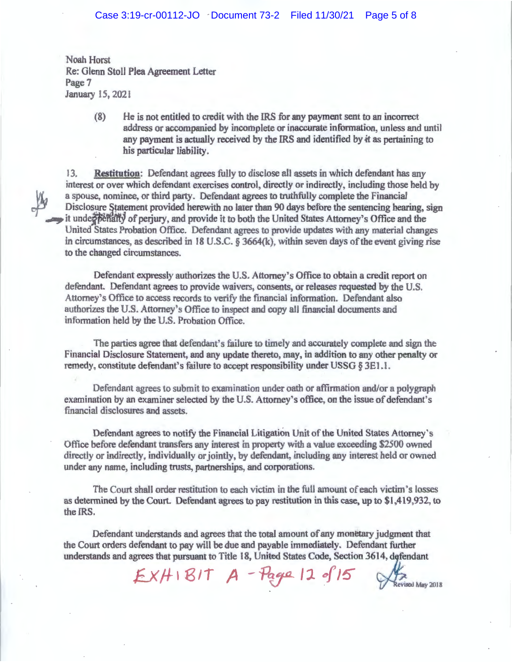Noah Horst Re: Glenn Stoll Plea Agreement Letter Page 7 January 15, 2021

> (8) He is not entitled to credit with the IRS for any payment sent to an incorrect address or accompanied by incomplete or inaccurate information, unless and until any payment is actually received by the IRS and identified by it as pertaining to his particular liability.

13. **Restitution:** Defendant agrees fully to disclose all assets in which defendant has any interest or over which defendant exercises control, directly or indirectly, including those held by a spouse, nominee, or third party. Defendant agrees to truthfully complete the Financial Disclosure Statement provided herewith no later than 90 days before the sentencing hearing, sign it under perialty of perjury, and provide it to both the United States Attorney's Office and the United States Probation Office. Defendant agrees to provide updates with any material changes in circumstances, as described in 18 U.S.C. § 3664(k). within seven days of the event giving rise to the changed circumstances.

Defendant expressly authorizes the U.S. Attorney's Office to obtain a credit report on defendant. Defendant agrees to provide waivers, consents, or releases requested by the U.S. Attorney *s* Office to access records to verify the financial information. Defendant also authorizes the U.S. Attorney's Office to inspect and copy all financial documents and information held by the U.S. Probation Office.

The parties agree that defendant's failure to timely and accurately complete and sign the Financial Disclosure Statement, and any update thereto, may, in addition to any other penalty or remedy, constitute defendant's failure to accept responsibility under USSG § 3E1 .1 .

Defendant agrees to submit to examination under oath or affirmation and/or a polygraph examination by an examiner selected by the U.S. Attorney's office, on the issue of defendant's financial disclosures and assets.

Defendant agrees to notify the Financial Litigation Unit of the United States Attorney's Office before defendant transfers any interest in property with a value exceeding \$2500 owned directly or indirectly. individually or jointly, by defendant, including any interest held or owned under any name, including trusts, partnerships, and corporations.

The Court shall order restitution to each victim in the full amount of each victim's losses as determined by the Court. Defendant agrees to pay restitution in this case, up to \$1,419,932, to the IRS.

Defendant understands and agrees that the total amount of any monetary judgment that the Court orders defendant to pay will be due and payable immediately. Defendant further understands and agrees that pursuant to Title 18, United States Code, Section 3614, defends pay will be due and payable immediately. Defendant further<br>ursuant to Title 18, United States Code, Section 3614, defendant

**V Revised May 2018**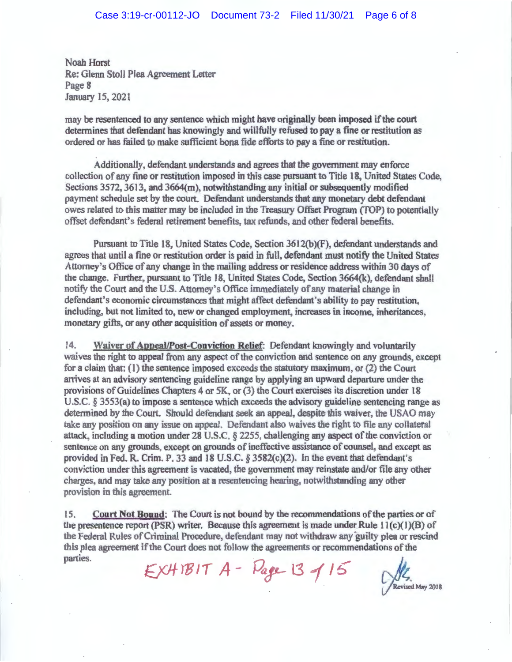Noah Horst Re: Glenn Stoll Plea Agreement Letter Page 8 January 15, 2021

may be resentenced to any sentence which might have originaIJy been imposed if the court determines that defendant has knowingly and willfully refused to pay a fine or restitution as ordered or has failed to make sufficient bona fide efforts to pay a fine or restitution.

Additionally, defendant understands and agrees that the government may enforce collection of any fine or restitution imposed in this case pursuant to Title 18, United States Code, Sections  $3572$ ,  $3613$ , and  $3664(m)$ , notwithstanding any initial or subsequently modified payment schedule set by the court. Defendant understands that any monetary debt defendant owes related to this matter may be included in the Treasury Offset Program (TOP) to potentially offset defendant's federal retirement benefits, tax refunds, and other federal benefits.

Pursuant to Title 18, United States Code, Section 3612(b)(F), defendant understands and agrees that until a fine or restitution order *is* paid in full, defendant must notify the United States Attorney's Office of any change in the mailing address or residence address within 30 days of the change. Further, pursuant to Title 18, United States Code, Section 3664(k), defendant shall notify the Court and the U.S. Attorney's Office immediately of any material change in defendant's economic circumstances that might affect defendant's ability to pay restitution, including, but not limited to, new or changed employment, increases in income, inheritances, monetary gifts, or any other acquisition of assets or money.

14. **Waiver of Appeal/Post-Conviction Relief:** Defendant knowingly and voluntarily waives the right to appeal from any aspect of the conviction and sentence on any grounds, except for a claim that: (1) the sentence imposed exceeds the statutory maximum, or (2) the Court arrives at an advisory sentencing guideline range by applying an upward departure under the provisions of Guidelines Chapters 4 or 5K, or (3) the Court exercises its discretion under 18 U.S.C.  $\S$  3553(a) to impose a sentence which exceeds the advisory guideline sentencing range as detennined by the Court. Should defendant seek an appeal, despite this waiver, the USAO may take any position on any issue on appeal. Defendant also waives the right to file any collateral attack, including a motion under 28 U.S.C. § 2255, challenging any aspect of the conviction or sentence on any grounds, except on grounds of ineffective assistance of counsel, and except as provided in Fed. R. Crim. P. 33 and 18 U.S.C.  $\S$  3582(c)(2). In the event that defendant's conviction under this agreement is vacated, the government may reinstate and/or file any other charges and may take any posjtion at a resentencing hearing, notwithstanding any other provision in this agreement.

15. **Court Not Bound:** The Court is not bound by the recommendations of the parties or of the presentence report (PSR) writer. Because this agreement is made under Rule  $11(c)(1)(B)$  of the Federal Rules of Criminal Procedure, defendant may not withdraw any guilty plea or rescind this plea agreement if the Court does not follow the agreements or recommendations of the

parties.  $EXHIBIT A - Page 13 15$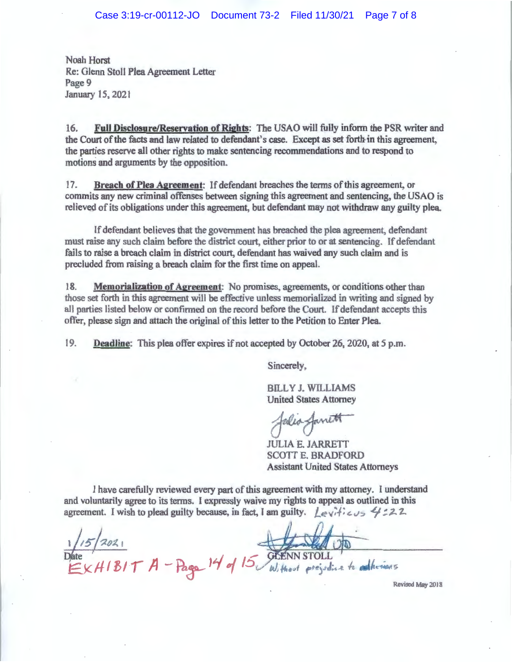Noah Horst Re: Glenn Stoll Plea Agreement Letter Page 9 January 15, 2021

16. **Full Disclosure/Reservation of Rights:** The USAO will fully inform the PSR writer and the Court of the facts and law related to defendant's case. Except as set forth in this agreement, the parties reserve all other rights to make sentencing recommendations and to respond to motions and arguments by the opposition.

17. **Breach of Plea Agreement:** If defendant breaches the terms of this agreement, or commits any new criminal offenses between signing this agreement and sentencing, the USAO is relieved of its obligations under *this* agreement, but defendant may not withdraw any guilty plea.

If defendant believes that the government has breached the plea agreement, defendant must raise any such claim before the district court, either prior to or at sentencing. If defendant fails to raise a breach claim in district court, defendant has waived any such claim and is precluded from raising a breach claim for the first time on appeal.

I **8. MemoriaJization of Agreement:** No promises, agreements, or conditions other than those set forth in this agreement will be effective unless memorialized in writing and signed by all parties listed below or confirmed on the record before the Court. If defendant accepts this offer, please sign and attach the original of this letter to the Petition to Enter Plea.

19. **Deadline:** This plea offer expires if not accepted by October 26, 2020, at *5* p.m.

Sincerely,

BILLY J. WILLIAMS United States Attorney

falia famitt

JULIA E. JARRETT SCOTT E. BRADFORD Assistant United States Attorneys

I have carefully reviewed every part of this agreement with my attorney. I understand and voluntarily agree to its terms. l expressly waive my rights to appeal as outlined in this agreement. I wish to plead guilty because, in fact, I am guilty. *Levitieus* 4:22.

NNSTOLL

Without prejudice to

Revised May 2018